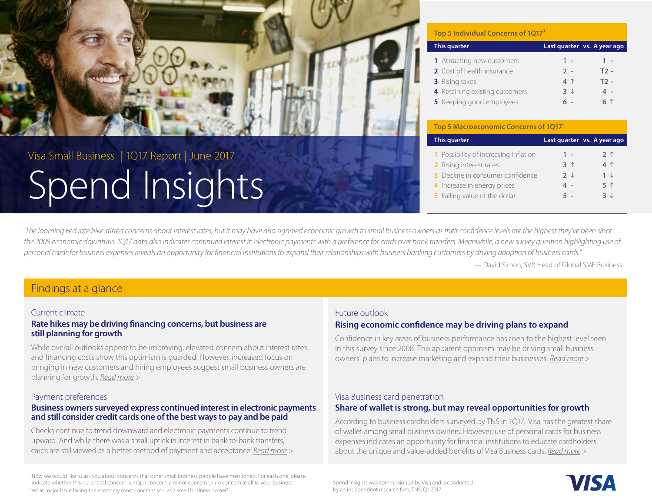<span id="page-0-0"></span>

# Spend Insights Visa Small Business | 1Q17 Report | June 2017

#### **Top 5 Individual Concerns of 1Q171**

| This quarter                      |                | Last quarter vs. A year ago |
|-----------------------------------|----------------|-----------------------------|
| <b>1</b> Attracting new customers | $1 -$          | $1 -$                       |
| 2 Cost of health insurance        | $2 -$          | $T2 -$                      |
| <b>3</b> Rising taxes             | 4 <sup>1</sup> | $T2 -$                      |
| 4 Retaining existing customers    | $3 \downarrow$ | 4 -                         |
| 5 Keeping good employees          | . -            | 6 1                         |

**Top 5 Macroeconomic Concerns of 1017** 

| This quarter                          |                | Last quarter vs. A year ago |
|---------------------------------------|----------------|-----------------------------|
| 1 Possibility of increasing inflation | $1 -$          | 2 <sub>1</sub>              |
| 2 Rising interest rates               | 3 <sup>1</sup> | 4 1                         |
| 3 Decline in consumer confidence      | フ J            | $1 \downarrow$              |
| 4 Increase in energy prices           | 4 -            | 5 1                         |
| <b>5</b> Falling value of the dollar  | 5 -            | 3 J                         |

*"The looming Fed rate hike stirred concerns about interest rates, but it may have also signaled economic growth to small business owners as their confidence levels are the highest they've been since the 2008 economic downturn. 1Q17 data also indicates continued interest in electronic payments with a preference for cards over bank transfers. Meanwhile, a new survey question highlighting use of personal cards for business expenses reveals an opportunity for financial institutions to expand their relationships with business banking customers by driving adoption of business cards."*

— David Simon, SVP, Head of Global SME Business

### Findings at a glance

#### Current climate

#### **Rate hikes may be driving financing concerns, but business are still planning for growth**

While overall outlooks appear to be improving, elevated concern about interest rates and financing costs show this optimism is guarded. However, increased focus on bringing in new customers and hiring employees suggest small business owners are planning for growth. *[Read more >](#page-1-0)*

#### Payment preferences

#### **Business owners surveyed express continued interest in electronic payments and still consider credit cards one of the best ways to pay and be paid**

Checks continue to trend downward and electronic payments continue to trend upward. And while there was a small uptick in interest in bank-to-bank transfers, cards are still viewed as a better method of payment and acceptance. *[Read more >](#page-3-0)*

1 Now we would like to ask you about concerns that other small business people have mentioned. For each one, please indicate whether this is a critical concern, a major concern, a minor concern or no concern at all to your business. <sup>2</sup> What major issue facing the economy most concerns you as a small business owner?

#### Future outlook

#### **Rising economic confidence may be driving plans to expand**

Confidence in key areas of business performance has risen to the highest level seen in this survey since 2008. This apparent optimism may be driving small business owners' plans to increase marketing and expand their businesses. *[Read more >](#page-2-0)*

#### Visa Business card penetration

#### **Share of wallet is strong, but may reveal opportunities for growth**

According to business cardholders surveyed by TNS in 1Q17, Visa has the greatest share of wallet among small business owners. However, use of personal cards for business expenses indicates an opportunity for financial institutions to educate cardholders about the unique and value-added benefits of Visa Business cards. *[Read more >](#page-4-0)*

Spend Insights was commissioned by Visa and is conducted by an independent research firm, TNS, Q1 2017

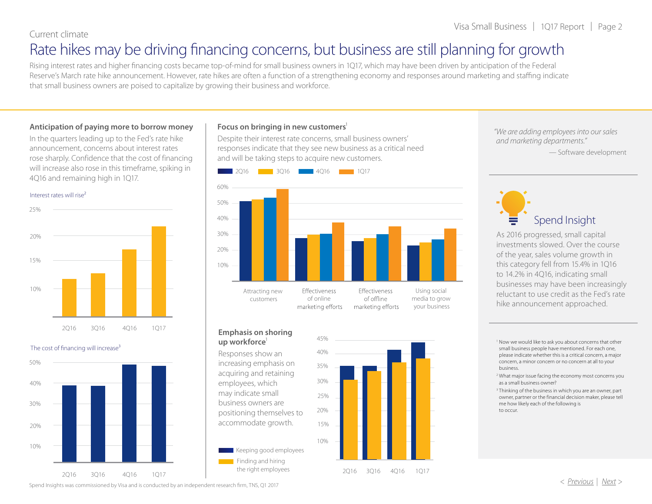#### <span id="page-1-0"></span>Current climate

## Rate hikes may be driving financing concerns, but business are still planning for growth

Rising interest rates and higher financing costs became top-of-mind for small business owners in 1Q17, which may have been driven by anticipation of the Federal Reserve's March rate hike announcement. However, rate hikes are often a function of a strengthening economy and responses around marketing and staffing indicate that small business owners are poised to capitalize by growing their business and workforce.

#### **Anticipation of paying more to borrow money**

In the quarters leading up to the Fed's rate hike announcement, concerns about interest rates rose sharply. Confidence that the cost of financing will increase also rose in this timeframe, spiking in 4Q16 and remaining high in 1Q17.





#### The cost of financing will increase<sup>3</sup>



#### **Focus on bringing in new customers**1

Despite their interest rate concerns, small business owners' responses indicate that they see new business as a critical need and will be taking steps to acquire new customers.



#### **Emphasis on shoring**  up workforce<sup>1</sup>

Responses show an increasing emphasis on acquiring and retaining employees, which may indicate small business owners are positioning themselves to accommodate growth.





2Q16 3Q16 4Q16 1Q17

*"We are adding employees into our sales and marketing departments."*

— Software development



As 2016 progressed, small capital investments slowed. Over the course of the year, sales volume growth in this category fell from 15.4% in 1Q16 to 14.2% in 4Q16, indicating small businesses may have been increasingly reluctant to use credit as the Fed's rate hike announcement approached.

<sup>1</sup> Now we would like to ask you about concerns that other small business people have mentioned. For each one, please indicate whether this is a critical concern, a major concern, a minor concern or no concern at all to your business.

<sup>2</sup> What major issue facing the economy most concerns you as a small business owner?

<sup>3</sup> Thinking of the business in which you are an owner, part owner, partner or the financial decision maker, please tell me how likely each of the following is to occur.

Spend Insights was commissioned by Visa and is conducted by an independent research firm, TNS, Q1 2017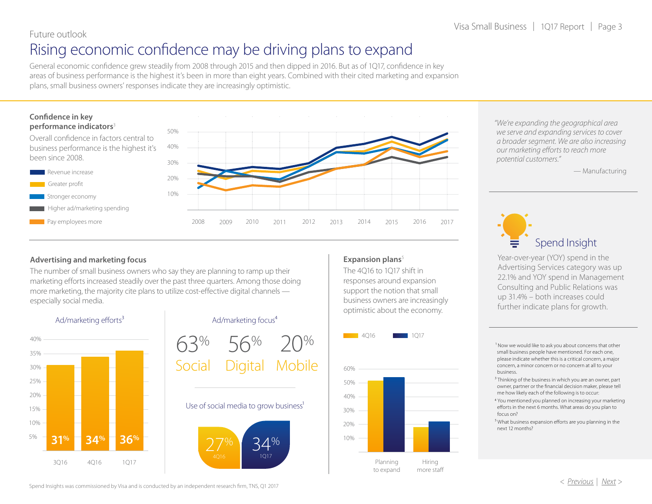### <span id="page-2-0"></span>Future outlook

### Rising economic confidence may be driving plans to expand

General economic confidence grew steadily from 2008 through 2015 and then dipped in 2016. But as of 1Q17, confidence in key areas of business performance is the highest it's been in more than eight years. Combined with their cited marketing and expansion plans, small business owners' responses indicate they are increasingly optimistic.

#### **Confidence in key performance indicators**<sup>3</sup>

Revenue increase Greater profit

Overall confidence in factors central to business performance is the highest it's been since 2008.



#### **Advertising and marketing focus**

The number of small business owners who say they are planning to ramp up their marketing efforts increased steadily over the past three quarters. Among those doing more marketing, the majority cite plans to utilize cost-effective digital channels especially social media.



#### Ad/marketing focus<sup>4</sup>

63% 56% 20% Social Digital Mobile

#### Use of social media to grow business<sup>1</sup>



#### **Expansion plans**<sup>5</sup>

The 4Q16 to 1Q17 shift in responses around expansion support the notion that small business owners are increasingly optimistic about the economy.



*"We're expanding the geographical area we serve and expanding services to cover a broader segment. We are also increasing our marketing efforts to reach more potential customers."*

— Manufacturing



Year-over-year (YOY) spend in the Advertising Services category was up 22.1% and YOY spend in Management Consulting and Public Relations was up 31.4% – both increases could further indicate plans for growth.

<sup>1</sup> Now we would like to ask you about concerns that other small business people have mentioned. For each one, please indicate whether this is a critical concern, a major concern, a minor concern or no concern at all to your business.

- <sup>3</sup> Thinking of the business in which you are an owner, part owner, partner or the financial decision maker, please tell me how likely each of the following is to occur:
- 4 You mentioned you planned on increasing your marketing efforts in the next 6 months. What areas do you plan to focus on?
- ⁵ What business expansion efforts are you planning in the next 12 months?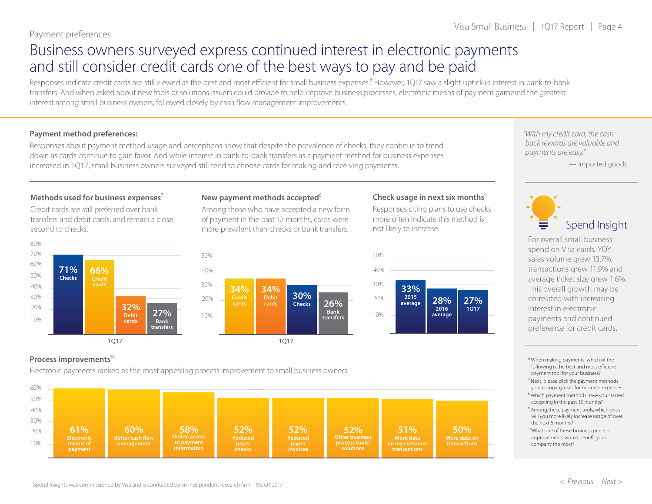### <span id="page-3-0"></span>Business owners surveyed express continued interest in electronic payments and still consider credit cards one of the best ways to pay and be paid

Responses indicate credit cards are still viewed as the best and most efficient for small business expenses.<sup>6</sup> However, 1Q17 saw a slight uptick in interest in bank-to-bank transfers. And when asked about new tools or solutions issuers could provide to help improve business processes, electronic means of payment garnered the greatest interest among small business owners, followed closely by cash flow management improvements.

#### **Payment method preferences:**

Responses about payment method usage and perceptions show that despite the prevalence of checks, they continue to trend down as cards continue to gain favor. And while interest in bank-to-bank transfers as a payment method for business expenses increased in 1Q17, small business owners surveyed still tend to choose cards for making and receiving payments.

*"With my credit card, the cash back rewards are valuable and payments are easy."*

— Imported goods



For overall small business spend on Visa cards, YOY sales volume grew 13.7%, transactions grew 11.9% and average ticket size grew 1.6%. This overall growth may be correlated with increasing interest in electronic payments and continued preference for credit cards.

- 6 When making payments, which of the following is the best and most efficient payment tool for your business?
- <sup>7</sup> Next, please click the payment methods your company uses for business expenses.
- ⁸ Which payment methods have you started accepting in the past 12 months?
- <sup>9</sup> Among these payment tools, which ones will you more likely increase usage of over the next 6 months?
- <sup>10</sup>What one of these business process improvements would benefit your company the most?

#### Methods used for business expenses<sup>7</sup>

Credit cards are still preferred over bank transfers and debit cards, and remain a close second to checks.



#### **New payment methods accepted**<sup>8</sup>

Among those who have accepted a new form of payment in the past 12 months, cards were more prevalent than checks or bank transfers.



#### **Check usage in next six months**<sup>9</sup>

Responses citing plans to use checks more often indicate this method is not likely to increase.



#### Process improvements<sup>10</sup>

Electronic payments ranked as the most appealing process improvement to small business owners.

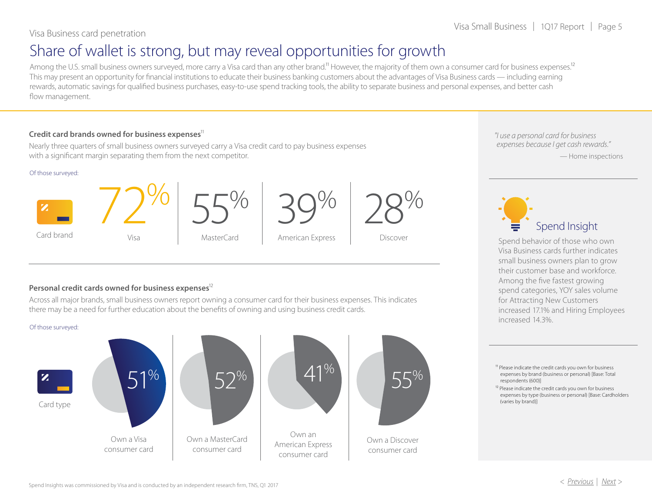## <span id="page-4-0"></span>Share of wallet is strong, but may reveal opportunities for growth

Among the U.S. small business owners surveyed, more carry a Visa card than any other brand.<sup>11</sup> However, the majority of them own a consumer card for business expenses.<sup>12</sup> This may present an opportunity for financial institutions to educate their business banking customers about the advantages of Visa Business cards — including earning rewards, automatic savings for qualified business purchases, easy-to-use spend tracking tools, the ability to separate business and personal expenses, and better cash flow management.

#### **Credit card brands owned for business expenses**11

Nearly three quarters of small business owners surveyed carry a Visa credit card to pay business expenses with a significant margin separating them from the next competitor.

#### Of those surveyed:





55% MasterCard





Discover

*"I use a personal card for business expenses because I get cash rewards."* — Home inspections



Spend behavior of those who own Visa Business cards further indicates small business owners plan to grow their customer base and workforce. Among the five fastest growing spend categories, YOY sales volume for Attracting New Customers increased 17.1% and Hiring Employees increased 14.3%.

<sup>11</sup> Please indicate the credit cards you own for business expenses by brand (business or personal) [Base: Total respondents (600)]

<sup>12</sup> Please indicate the credit cards you own for business expenses by type (business or personal) [Base: Cardholders (varies by brand)]

#### **Personal credit cards owned for business expenses**12

Across all major brands, small business owners report owning a consumer card for their business expenses. This indicates there may be a need for further education about the benefits of owning and using business credit cards.